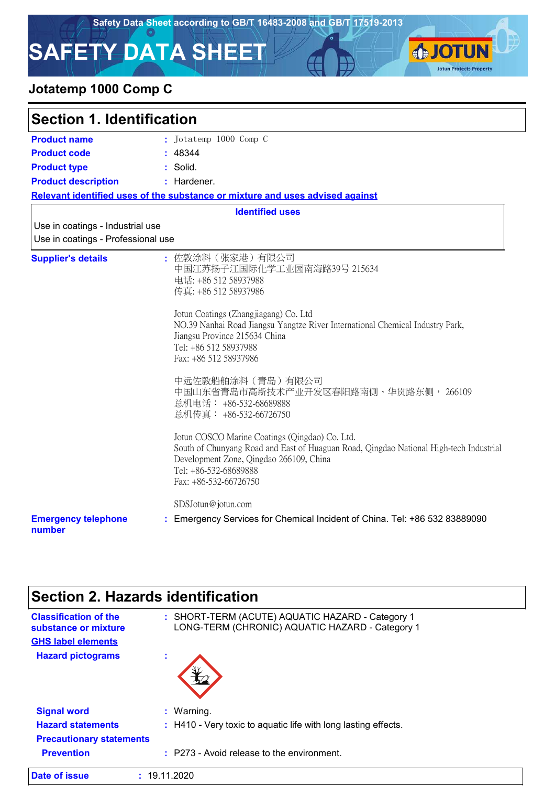**SJOTUN** 

**Jotun Protects Property** 

# **SAFETY DATA SHEET**

## **Jotatemp 1000 Comp C**

**Date of issue :** 19.11.2020

| <b>Section 1. Identification</b>                                       |                                                                                                                                                                                                                                                                                                                                                                                                                                                                                                                                                                                                                                                                          |  |
|------------------------------------------------------------------------|--------------------------------------------------------------------------------------------------------------------------------------------------------------------------------------------------------------------------------------------------------------------------------------------------------------------------------------------------------------------------------------------------------------------------------------------------------------------------------------------------------------------------------------------------------------------------------------------------------------------------------------------------------------------------|--|
| <b>Product name</b>                                                    | : Jotatemp 1000 Comp C                                                                                                                                                                                                                                                                                                                                                                                                                                                                                                                                                                                                                                                   |  |
| <b>Product code</b>                                                    | : 48344                                                                                                                                                                                                                                                                                                                                                                                                                                                                                                                                                                                                                                                                  |  |
| <b>Product type</b>                                                    | : Solid.                                                                                                                                                                                                                                                                                                                                                                                                                                                                                                                                                                                                                                                                 |  |
| <b>Product description</b>                                             | : Hardener.                                                                                                                                                                                                                                                                                                                                                                                                                                                                                                                                                                                                                                                              |  |
|                                                                        | Relevant identified uses of the substance or mixture and uses advised against                                                                                                                                                                                                                                                                                                                                                                                                                                                                                                                                                                                            |  |
|                                                                        | <b>Identified uses</b>                                                                                                                                                                                                                                                                                                                                                                                                                                                                                                                                                                                                                                                   |  |
| Use in coatings - Industrial use<br>Use in coatings - Professional use |                                                                                                                                                                                                                                                                                                                                                                                                                                                                                                                                                                                                                                                                          |  |
| <b>Supplier's details</b>                                              | : 佐敦涂料 (张家港) 有限公司<br>中国江苏扬子江国际化学工业园南海路39号 215634<br>电话: +86 512 58937988<br>传真: +86 512 58937986<br>Jotun Coatings (Zhangjiagang) Co. Ltd<br>NO.39 Nanhai Road Jiangsu Yangtze River International Chemical Industry Park,<br>Jiangsu Province 215634 China<br>Tel: +86 512 58937988<br>Fax: +86 512 58937986<br>中远佐敦船舶涂料 (青岛) 有限公司<br>中国山东省青岛市高新技术产业开发区春阳路南侧、华贯路东侧, 266109<br>总机电话: +86-532-68689888<br>总机传真: +86-532-66726750<br>Jotun COSCO Marine Coatings (Qingdao) Co. Ltd.<br>South of Chunyang Road and East of Huaguan Road, Qingdao National High-tech Industrial<br>Development Zone, Qingdao 266109, China<br>Tel: +86-532-68689888<br>Fax: +86-532-66726750 |  |
| <b>Emergency telephone</b><br>number                                   | SDSJotun@jotun.com<br>: Emergency Services for Chemical Incident of China. Tel: +86 532 83889090                                                                                                                                                                                                                                                                                                                                                                                                                                                                                                                                                                         |  |

| Section 2. Hazards identification                    |                                                                                                     |
|------------------------------------------------------|-----------------------------------------------------------------------------------------------------|
| <b>Classification of the</b><br>substance or mixture | : SHORT-TERM (ACUTE) AQUATIC HAZARD - Category 1<br>LONG-TERM (CHRONIC) AQUATIC HAZARD - Category 1 |
| <b>GHS label elements</b>                            |                                                                                                     |
| <b>Hazard pictograms</b>                             |                                                                                                     |
| <b>Signal word</b>                                   | $:$ Warning.                                                                                        |
| <b>Hazard statements</b>                             | : H410 - Very toxic to aquatic life with long lasting effects.                                      |
| <b>Precautionary statements</b>                      |                                                                                                     |
| <b>Prevention</b>                                    | : P273 - Avoid release to the environment.                                                          |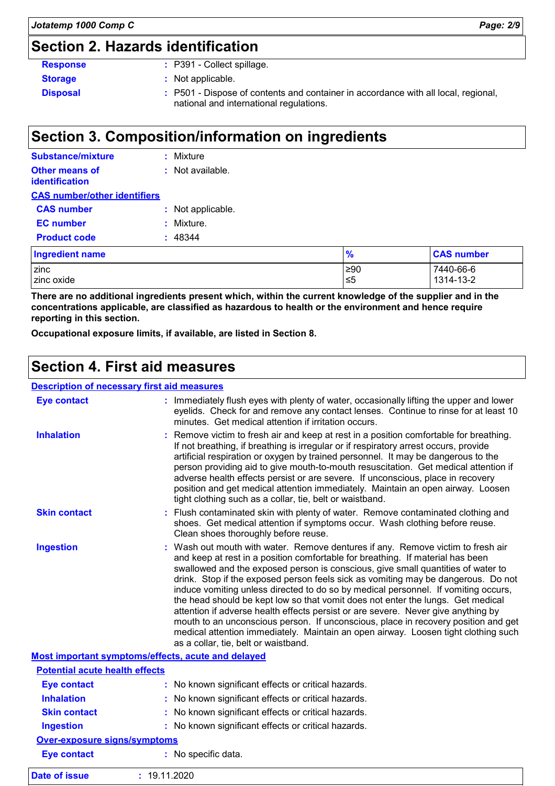# **Section 2. Hazards identification**

| <b>Response</b> | $\therefore$ P391 - Collect spillage.                                                                                         |
|-----------------|-------------------------------------------------------------------------------------------------------------------------------|
| <b>Storage</b>  | : Not applicable.                                                                                                             |
| <b>Disposal</b> | : P501 - Dispose of contents and container in accordance with all local, regional,<br>national and international regulations. |

# **Section 3. Composition/information on ingredients**

| <b>Substance/mixture</b>                       | : Mixture         |               |                   |
|------------------------------------------------|-------------------|---------------|-------------------|
| <b>Other means of</b><br><b>identification</b> | : Not available.  |               |                   |
| <b>CAS number/other identifiers</b>            |                   |               |                   |
| <b>CAS number</b>                              | : Not applicable. |               |                   |
| <b>EC</b> number                               | Mixture.          |               |                   |
| <b>Product code</b>                            | : 48344           |               |                   |
| <b>Ingredient name</b>                         |                   | $\frac{9}{6}$ | <b>CAS number</b> |
| zinc                                           |                   | ≥90           | 7440-66-6         |
| zinc oxide                                     | 1314-13-2<br>≤5   |               |                   |

**There are no additional ingredients present which, within the current knowledge of the supplier and in the concentrations applicable, are classified as hazardous to health or the environment and hence require reporting in this section.**

**Occupational exposure limits, if available, are listed in Section 8.**

### **Section 4. First aid measures**

#### **Description of necessary first aid measures**

| <b>Eye contact</b>                    | : Immediately flush eyes with plenty of water, occasionally lifting the upper and lower<br>eyelids. Check for and remove any contact lenses. Continue to rinse for at least 10<br>minutes. Get medical attention if irritation occurs.                                                                                                                                                                                                                                                                                                                                                                                                                                                                                                                                                                                       |
|---------------------------------------|------------------------------------------------------------------------------------------------------------------------------------------------------------------------------------------------------------------------------------------------------------------------------------------------------------------------------------------------------------------------------------------------------------------------------------------------------------------------------------------------------------------------------------------------------------------------------------------------------------------------------------------------------------------------------------------------------------------------------------------------------------------------------------------------------------------------------|
| <b>Inhalation</b>                     | Remove victim to fresh air and keep at rest in a position comfortable for breathing.<br>If not breathing, if breathing is irregular or if respiratory arrest occurs, provide<br>artificial respiration or oxygen by trained personnel. It may be dangerous to the<br>person providing aid to give mouth-to-mouth resuscitation. Get medical attention if<br>adverse health effects persist or are severe. If unconscious, place in recovery<br>position and get medical attention immediately. Maintain an open airway. Loosen<br>tight clothing such as a collar, tie, belt or waistband.                                                                                                                                                                                                                                   |
| <b>Skin contact</b>                   | Flush contaminated skin with plenty of water. Remove contaminated clothing and<br>shoes. Get medical attention if symptoms occur. Wash clothing before reuse.<br>Clean shoes thoroughly before reuse.                                                                                                                                                                                                                                                                                                                                                                                                                                                                                                                                                                                                                        |
| <b>Ingestion</b>                      | : Wash out mouth with water. Remove dentures if any. Remove victim to fresh air<br>and keep at rest in a position comfortable for breathing. If material has been<br>swallowed and the exposed person is conscious, give small quantities of water to<br>drink. Stop if the exposed person feels sick as vomiting may be dangerous. Do not<br>induce vomiting unless directed to do so by medical personnel. If vomiting occurs,<br>the head should be kept low so that vomit does not enter the lungs. Get medical<br>attention if adverse health effects persist or are severe. Never give anything by<br>mouth to an unconscious person. If unconscious, place in recovery position and get<br>medical attention immediately. Maintain an open airway. Loosen tight clothing such<br>as a collar, tie, belt or waistband. |
|                                       | Most important symptoms/effects, acute and delayed                                                                                                                                                                                                                                                                                                                                                                                                                                                                                                                                                                                                                                                                                                                                                                           |
| <b>Potential acute health effects</b> |                                                                                                                                                                                                                                                                                                                                                                                                                                                                                                                                                                                                                                                                                                                                                                                                                              |
| <b>Eye contact</b>                    | : No known significant effects or critical hazards.                                                                                                                                                                                                                                                                                                                                                                                                                                                                                                                                                                                                                                                                                                                                                                          |
| <b>Inhalation</b>                     | : No known significant effects or critical hazards.                                                                                                                                                                                                                                                                                                                                                                                                                                                                                                                                                                                                                                                                                                                                                                          |
| <b>Skin contact</b>                   | No known significant effects or critical hazards.                                                                                                                                                                                                                                                                                                                                                                                                                                                                                                                                                                                                                                                                                                                                                                            |
| <b>Ingestion</b>                      | : No known significant effects or critical hazards.                                                                                                                                                                                                                                                                                                                                                                                                                                                                                                                                                                                                                                                                                                                                                                          |
| <b>Over-exposure signs/symptoms</b>   |                                                                                                                                                                                                                                                                                                                                                                                                                                                                                                                                                                                                                                                                                                                                                                                                                              |
| <b>Eye contact</b>                    | : No specific data.                                                                                                                                                                                                                                                                                                                                                                                                                                                                                                                                                                                                                                                                                                                                                                                                          |
| <b>Date of issue</b>                  | : 19.11.2020                                                                                                                                                                                                                                                                                                                                                                                                                                                                                                                                                                                                                                                                                                                                                                                                                 |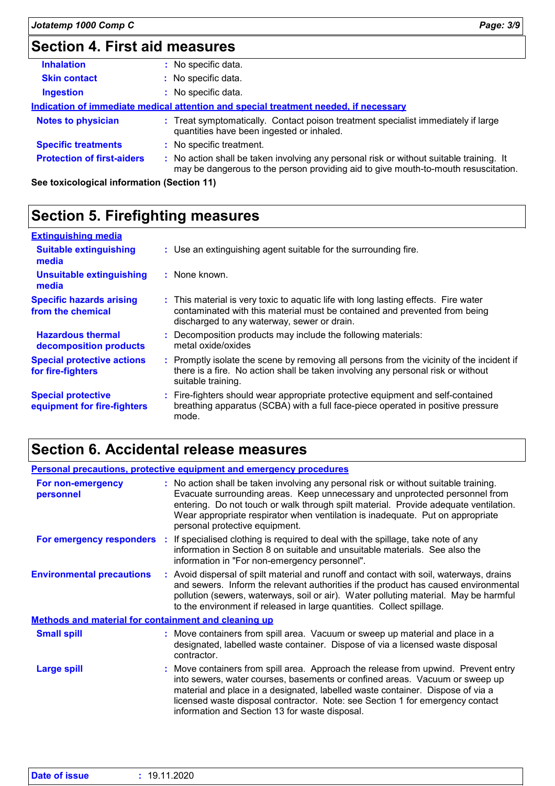# **Section 4. First aid measures**

| <b>Inhalation</b>                 | : No specific data.                                                                                                                                                           |  |
|-----------------------------------|-------------------------------------------------------------------------------------------------------------------------------------------------------------------------------|--|
| <b>Skin contact</b>               | : No specific data.                                                                                                                                                           |  |
| <b>Ingestion</b>                  | : No specific data.                                                                                                                                                           |  |
|                                   | Indication of immediate medical attention and special treatment needed, if necessary                                                                                          |  |
| <b>Notes to physician</b>         | : Treat symptomatically. Contact poison treatment specialist immediately if large<br>quantities have been ingested or inhaled.                                                |  |
| <b>Specific treatments</b>        | : No specific treatment.                                                                                                                                                      |  |
| <b>Protection of first-aiders</b> | : No action shall be taken involving any personal risk or without suitable training. It<br>may be dangerous to the person providing aid to give mouth-to-mouth resuscitation. |  |

**See toxicological information (Section 11)**

# **Section 5. Firefighting measures**

| <b>Extinguishing media</b>                               |                                                                                                                                                                                                                  |
|----------------------------------------------------------|------------------------------------------------------------------------------------------------------------------------------------------------------------------------------------------------------------------|
| <b>Suitable extinguishing</b><br>media                   | : Use an extinguishing agent suitable for the surrounding fire.                                                                                                                                                  |
| <b>Unsuitable extinguishing</b><br>media                 | : None known.                                                                                                                                                                                                    |
| <b>Specific hazards arising</b><br>from the chemical     | : This material is very toxic to aquatic life with long lasting effects. Fire water<br>contaminated with this material must be contained and prevented from being<br>discharged to any waterway, sewer or drain. |
| <b>Hazardous thermal</b><br>decomposition products       | : Decomposition products may include the following materials:<br>metal oxide/oxides                                                                                                                              |
| <b>Special protective actions</b><br>for fire-fighters   | : Promptly isolate the scene by removing all persons from the vicinity of the incident if<br>there is a fire. No action shall be taken involving any personal risk or without<br>suitable training.              |
| <b>Special protective</b><br>equipment for fire-fighters | : Fire-fighters should wear appropriate protective equipment and self-contained<br>breathing apparatus (SCBA) with a full face-piece operated in positive pressure<br>mode.                                      |

# **Section 6. Accidental release measures**

| <b>Personal precautions, protective equipment and emergency procedures</b> |  |                                                                                                                                                                                                                                                                                                                                                                                        |
|----------------------------------------------------------------------------|--|----------------------------------------------------------------------------------------------------------------------------------------------------------------------------------------------------------------------------------------------------------------------------------------------------------------------------------------------------------------------------------------|
| For non-emergency<br>personnel                                             |  | : No action shall be taken involving any personal risk or without suitable training.<br>Evacuate surrounding areas. Keep unnecessary and unprotected personnel from<br>entering. Do not touch or walk through spilt material. Provide adequate ventilation.<br>Wear appropriate respirator when ventilation is inadequate. Put on appropriate<br>personal protective equipment.        |
|                                                                            |  | <b>For emergency responders</b> : If specialised clothing is required to deal with the spillage, take note of any<br>information in Section 8 on suitable and unsuitable materials. See also the<br>information in "For non-emergency personnel".                                                                                                                                      |
| <b>Environmental precautions</b>                                           |  | : Avoid dispersal of spilt material and runoff and contact with soil, waterways, drains<br>and sewers. Inform the relevant authorities if the product has caused environmental<br>pollution (sewers, waterways, soil or air). Water polluting material. May be harmful<br>to the environment if released in large quantities. Collect spillage.                                        |
| <b>Methods and material for containment and cleaning up</b>                |  |                                                                                                                                                                                                                                                                                                                                                                                        |
| <b>Small spill</b>                                                         |  | : Move containers from spill area. Vacuum or sweep up material and place in a<br>designated, labelled waste container. Dispose of via a licensed waste disposal<br>contractor.                                                                                                                                                                                                         |
| <b>Large spill</b>                                                         |  | : Move containers from spill area. Approach the release from upwind. Prevent entry<br>into sewers, water courses, basements or confined areas. Vacuum or sweep up<br>material and place in a designated, labelled waste container. Dispose of via a<br>licensed waste disposal contractor. Note: see Section 1 for emergency contact<br>information and Section 13 for waste disposal. |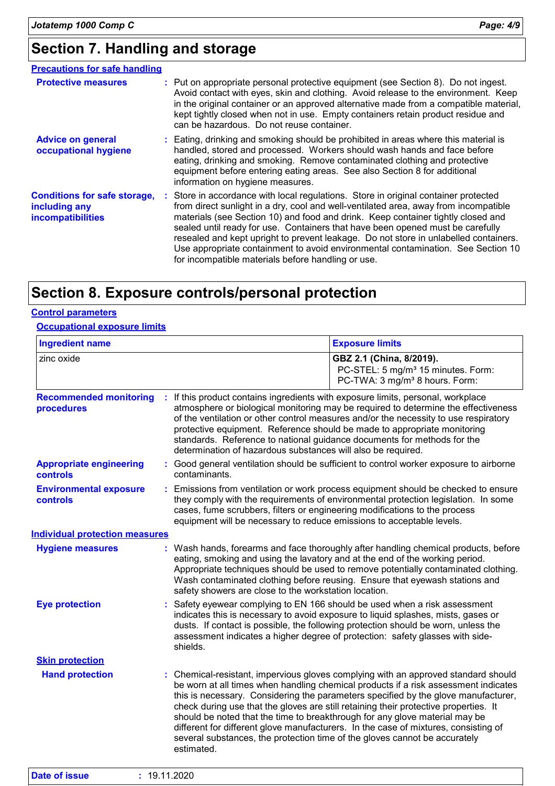# **Section 7. Handling and storage**

| <b>Precautions for safe handling</b>                                      |                                                                                                                                                                                                                                                                                                                                                                                                                                                                                                                                                                                     |
|---------------------------------------------------------------------------|-------------------------------------------------------------------------------------------------------------------------------------------------------------------------------------------------------------------------------------------------------------------------------------------------------------------------------------------------------------------------------------------------------------------------------------------------------------------------------------------------------------------------------------------------------------------------------------|
| <b>Protective measures</b>                                                | : Put on appropriate personal protective equipment (see Section 8). Do not ingest.<br>Avoid contact with eyes, skin and clothing. Avoid release to the environment. Keep<br>in the original container or an approved alternative made from a compatible material,<br>kept tightly closed when not in use. Empty containers retain product residue and<br>can be hazardous. Do not reuse container.                                                                                                                                                                                  |
| <b>Advice on general</b><br>occupational hygiene                          | : Eating, drinking and smoking should be prohibited in areas where this material is<br>handled, stored and processed. Workers should wash hands and face before<br>eating, drinking and smoking. Remove contaminated clothing and protective<br>equipment before entering eating areas. See also Section 8 for additional<br>information on hygiene measures.                                                                                                                                                                                                                       |
| <b>Conditions for safe storage,</b><br>including any<br>incompatibilities | : Store in accordance with local regulations. Store in original container protected<br>from direct sunlight in a dry, cool and well-ventilated area, away from incompatible<br>materials (see Section 10) and food and drink. Keep container tightly closed and<br>sealed until ready for use. Containers that have been opened must be carefully<br>resealed and kept upright to prevent leakage. Do not store in unlabelled containers.<br>Use appropriate containment to avoid environmental contamination. See Section 10<br>for incompatible materials before handling or use. |

## **Section 8. Exposure controls/personal protection**

#### **Control parameters**

**Occupational exposure limits**

| <b>Ingredient name</b>                      |                                                                                                                                                                                                                                                                                                       | <b>Exposure limits</b>                                                                                                                                                                                                                                                                                                                                                                                                                         |
|---------------------------------------------|-------------------------------------------------------------------------------------------------------------------------------------------------------------------------------------------------------------------------------------------------------------------------------------------------------|------------------------------------------------------------------------------------------------------------------------------------------------------------------------------------------------------------------------------------------------------------------------------------------------------------------------------------------------------------------------------------------------------------------------------------------------|
| zinc oxide                                  |                                                                                                                                                                                                                                                                                                       | GBZ 2.1 (China, 8/2019).<br>PC-STEL: 5 mg/m <sup>3</sup> 15 minutes. Form:<br>PC-TWA: 3 mg/m <sup>3</sup> 8 hours. Form:                                                                                                                                                                                                                                                                                                                       |
| <b>Recommended monitoring</b><br>procedures | If this product contains ingredients with exposure limits, personal, workplace<br>protective equipment. Reference should be made to appropriate monitoring<br>standards. Reference to national guidance documents for methods for the<br>determination of hazardous substances will also be required. | atmosphere or biological monitoring may be required to determine the effectiveness<br>of the ventilation or other control measures and/or the necessity to use respiratory                                                                                                                                                                                                                                                                     |
| <b>Appropriate engineering</b><br>controls  | contaminants.                                                                                                                                                                                                                                                                                         | : Good general ventilation should be sufficient to control worker exposure to airborne                                                                                                                                                                                                                                                                                                                                                         |
| <b>Environmental exposure</b><br>controls   | cases, fume scrubbers, filters or engineering modifications to the process<br>equipment will be necessary to reduce emissions to acceptable levels.                                                                                                                                                   | Emissions from ventilation or work process equipment should be checked to ensure<br>they comply with the requirements of environmental protection legislation. In some                                                                                                                                                                                                                                                                         |
| <b>Individual protection measures</b>       |                                                                                                                                                                                                                                                                                                       |                                                                                                                                                                                                                                                                                                                                                                                                                                                |
| <b>Hygiene measures</b>                     | eating, smoking and using the lavatory and at the end of the working period.<br>safety showers are close to the workstation location.                                                                                                                                                                 | : Wash hands, forearms and face thoroughly after handling chemical products, before<br>Appropriate techniques should be used to remove potentially contaminated clothing.<br>Wash contaminated clothing before reusing. Ensure that eyewash stations and                                                                                                                                                                                       |
| <b>Eye protection</b>                       | shields.                                                                                                                                                                                                                                                                                              | Safety eyewear complying to EN 166 should be used when a risk assessment<br>indicates this is necessary to avoid exposure to liquid splashes, mists, gases or<br>dusts. If contact is possible, the following protection should be worn, unless the<br>assessment indicates a higher degree of protection: safety glasses with side-                                                                                                           |
| <b>Skin protection</b>                      |                                                                                                                                                                                                                                                                                                       |                                                                                                                                                                                                                                                                                                                                                                                                                                                |
| <b>Hand protection</b>                      | should be noted that the time to breakthrough for any glove material may be<br>several substances, the protection time of the gloves cannot be accurately<br>estimated.                                                                                                                               | : Chemical-resistant, impervious gloves complying with an approved standard should<br>be worn at all times when handling chemical products if a risk assessment indicates<br>this is necessary. Considering the parameters specified by the glove manufacturer,<br>check during use that the gloves are still retaining their protective properties. It<br>different for different glove manufacturers. In the case of mixtures, consisting of |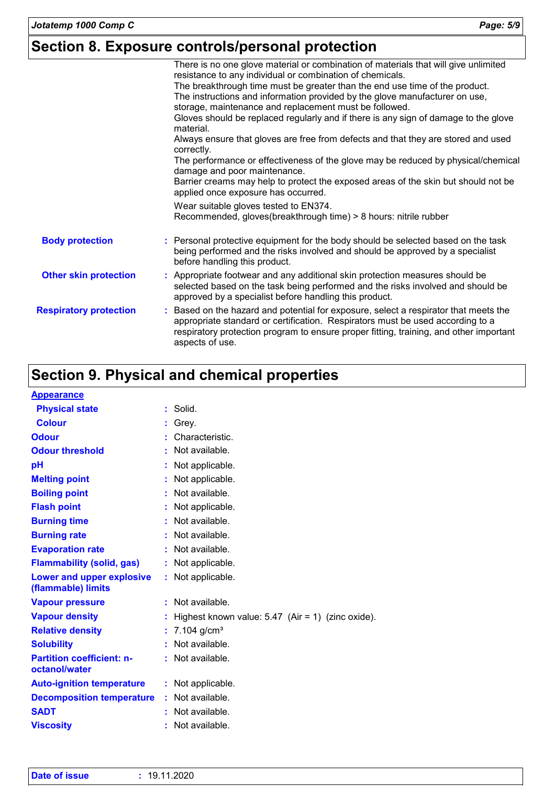# **Section 8. Exposure controls/personal protection**

|                               | There is no one glove material or combination of materials that will give unlimited<br>resistance to any individual or combination of chemicals.                                                                                                                                  |
|-------------------------------|-----------------------------------------------------------------------------------------------------------------------------------------------------------------------------------------------------------------------------------------------------------------------------------|
|                               | The breakthrough time must be greater than the end use time of the product.                                                                                                                                                                                                       |
|                               | The instructions and information provided by the glove manufacturer on use,                                                                                                                                                                                                       |
|                               | storage, maintenance and replacement must be followed.                                                                                                                                                                                                                            |
|                               | Gloves should be replaced regularly and if there is any sign of damage to the glove<br>material.                                                                                                                                                                                  |
|                               | Always ensure that gloves are free from defects and that they are stored and used<br>correctly.                                                                                                                                                                                   |
|                               | The performance or effectiveness of the glove may be reduced by physical/chemical<br>damage and poor maintenance.                                                                                                                                                                 |
|                               | Barrier creams may help to protect the exposed areas of the skin but should not be<br>applied once exposure has occurred.                                                                                                                                                         |
|                               | Wear suitable gloves tested to EN374.                                                                                                                                                                                                                                             |
|                               | Recommended, gloves(breakthrough time) > 8 hours: nitrile rubber                                                                                                                                                                                                                  |
| <b>Body protection</b>        | : Personal protective equipment for the body should be selected based on the task<br>being performed and the risks involved and should be approved by a specialist<br>before handling this product.                                                                               |
| <b>Other skin protection</b>  | : Appropriate footwear and any additional skin protection measures should be<br>selected based on the task being performed and the risks involved and should be<br>approved by a specialist before handling this product.                                                         |
| <b>Respiratory protection</b> | Based on the hazard and potential for exposure, select a respirator that meets the<br>appropriate standard or certification. Respirators must be used according to a<br>respiratory protection program to ensure proper fitting, training, and other important<br>aspects of use. |
|                               |                                                                                                                                                                                                                                                                                   |

# **Section 9. Physical and chemical properties**

| <b>Appearance</b>                                      |                                                     |
|--------------------------------------------------------|-----------------------------------------------------|
| <b>Physical state</b>                                  | : Solid.                                            |
| <b>Colour</b>                                          | Grey.                                               |
| <b>Odour</b>                                           | Characteristic.                                     |
| <b>Odour threshold</b>                                 | Not available.                                      |
| pH                                                     | Not applicable.                                     |
| <b>Melting point</b>                                   | Not applicable.                                     |
| <b>Boiling point</b>                                   | Not available.                                      |
| <b>Flash point</b>                                     | Not applicable.                                     |
| <b>Burning time</b>                                    | Not available.                                      |
| <b>Burning rate</b>                                    | Not available.                                      |
| <b>Evaporation rate</b>                                | Not available.                                      |
| <b>Flammability (solid, gas)</b>                       | Not applicable.                                     |
| <b>Lower and upper explosive</b><br>(flammable) limits | Not applicable.                                     |
| <b>Vapour pressure</b>                                 | Not available.                                      |
| <b>Vapour density</b>                                  | Highest known value: $5.47$ (Air = 1) (zinc oxide). |
| <b>Relative density</b>                                | $7.104$ g/cm <sup>3</sup>                           |
| <b>Solubility</b>                                      | Not available.                                      |
| <b>Partition coefficient: n-</b><br>octanol/water      | Not available.                                      |
| <b>Auto-ignition temperature</b>                       | : Not applicable.                                   |
| <b>Decomposition temperature</b>                       | Not available.                                      |
| <b>SADT</b>                                            | Not available.                                      |
| <b>Viscosity</b>                                       | Not available.                                      |

| <b>Date of issue</b> | : 19.11.2020 |
|----------------------|--------------|
|                      |              |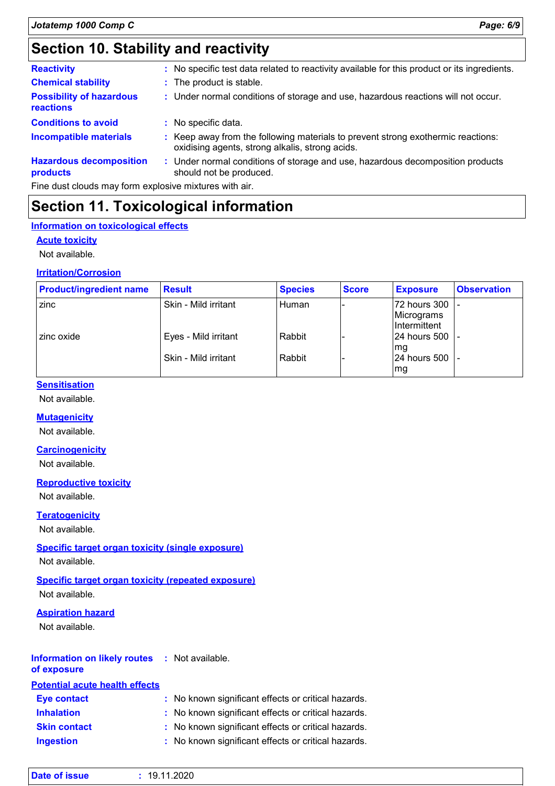# **Section 10. Stability and reactivity**

| <b>Reactivity</b>                            | : No specific test data related to reactivity available for this product or its ingredients.                                        |
|----------------------------------------------|-------------------------------------------------------------------------------------------------------------------------------------|
| <b>Chemical stability</b>                    | : The product is stable.                                                                                                            |
| <b>Possibility of hazardous</b><br>reactions | : Under normal conditions of storage and use, hazardous reactions will not occur.                                                   |
| <b>Conditions to avoid</b>                   | : No specific data.                                                                                                                 |
| <b>Incompatible materials</b>                | : Keep away from the following materials to prevent strong exothermic reactions:<br>oxidising agents, strong alkalis, strong acids. |
| <b>Hazardous decomposition</b><br>products   | Under normal conditions of storage and use, hazardous decomposition products<br>÷<br>should not be produced.                        |

Fine dust clouds may form explosive mixtures with air.

### **Section 11. Toxicological information**

#### **Information on toxicological effects**

#### **Acute toxicity**

Not available.

#### **Irritation/Corrosion**

| <b>Product/ingredient name</b> | <b>Result</b>        | <b>Species</b> | <b>Score</b> | <b>Exposure</b>                              | <b>Observation</b> |
|--------------------------------|----------------------|----------------|--------------|----------------------------------------------|--------------------|
| zinc                           | Skin - Mild irritant | Human          |              | 72 hours 300 -<br>Micrograms<br>Intermittent |                    |
| zinc oxide                     | Eyes - Mild irritant | Rabbit         |              | 124 hours 500 1 -<br>lmg                     |                    |
|                                | Skin - Mild irritant | Rabbit         |              | 24 hours 500  -<br>lmg                       |                    |

#### **Sensitisation**

Not available.

#### **Mutagenicity**

Not available.

#### **Carcinogenicity**

Not available.

#### **Reproductive toxicity**

Not available.

#### **Teratogenicity**

Not available.

#### **Specific target organ toxicity (single exposure)**

Not available.

#### **Specific target organ toxicity (repeated exposure)**

Not available.

#### **Aspiration hazard**

Not available.

#### **Information on likely routes :** Not available.

**Potential acute health effects of exposure**

| . VWHIM WYMI 2001 2002 2003 2012 2022 |                                                     |
|---------------------------------------|-----------------------------------------------------|
| <b>Eye contact</b>                    | : No known significant effects or critical hazards. |
| <b>Inhalation</b>                     | : No known significant effects or critical hazards. |
| <b>Skin contact</b>                   | : No known significant effects or critical hazards. |
| <b>Ingestion</b>                      | : No known significant effects or critical hazards. |

| <b>Date of issue</b> | .11.2020<br>19. |  |  |
|----------------------|-----------------|--|--|
|----------------------|-----------------|--|--|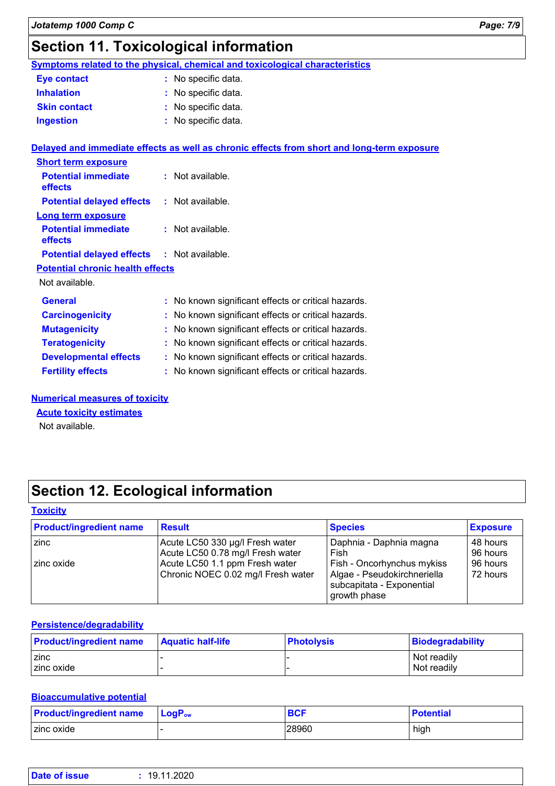# **Section 11. Toxicological information**

**Symptoms related to the physical, chemical and toxicological characteristics Eye contact :** No specific data.

| <b>Eve contact</b>  | $\therefore$ NO Specific data. |
|---------------------|--------------------------------|
| <b>Inhalation</b>   | : No specific data.            |
| <b>Skin contact</b> | : No specific data.            |
| <b>Ingestion</b>    | : No specific data.            |

|                                                   | Delayed and immediate effects as well as chronic effects from short and long-term exposure |
|---------------------------------------------------|--------------------------------------------------------------------------------------------|
| <b>Short term exposure</b>                        |                                                                                            |
| <b>Potential immediate</b><br><b>effects</b>      | : Not available.                                                                           |
| <b>Potential delayed effects</b>                  | : Not available.                                                                           |
| Long term exposure                                |                                                                                            |
| <b>Potential immediate</b><br>effects             | : Not available.                                                                           |
| <b>Potential delayed effects : Not available.</b> |                                                                                            |
| <b>Potential chronic health effects</b>           |                                                                                            |
| Not available.                                    |                                                                                            |
| <b>General</b>                                    | : No known significant effects or critical hazards.                                        |
| <b>Carcinogenicity</b>                            | : No known significant effects or critical hazards.                                        |
| <b>Mutagenicity</b>                               | : No known significant effects or critical hazards.                                        |
| <b>Teratogenicity</b>                             | : No known significant effects or critical hazards.                                        |
| <b>Developmental effects</b>                      | : No known significant effects or critical hazards.                                        |
| <b>Fertility effects</b>                          | : No known significant effects or critical hazards.                                        |

**Numerical measures of toxicity**

#### **Acute toxicity estimates**

Not available.

# **Section 12. Ecological information**

#### **Toxicity**

| <b>Product/ingredient name</b> | <b>Result</b>                      | <b>Species</b>                                           | <b>Exposure</b> |
|--------------------------------|------------------------------------|----------------------------------------------------------|-----------------|
| zinc                           | Acute LC50 330 µg/l Fresh water    | Daphnia - Daphnia magna                                  | 48 hours        |
|                                | Acute LC50 0.78 mg/l Fresh water   | Fish                                                     | 96 hours        |
| l zinc oxide l                 | Acute LC50 1.1 ppm Fresh water     | Fish - Oncorhynchus mykiss                               | 96 hours        |
|                                | Chronic NOEC 0.02 mg/l Fresh water | Algae - Pseudokirchneriella<br>subcapitata - Exponential | 72 hours        |
|                                |                                    | growth phase                                             |                 |

#### **Persistence/degradability**

| <b>Product/ingredient name</b> | <b>Aquatic half-life</b> | <b>Photolysis</b> | Biodegradability |
|--------------------------------|--------------------------|-------------------|------------------|
| zinc                           |                          |                   | Not readily      |
| zinc oxide                     |                          |                   | Not readily      |

#### **Bioaccumulative potential**

| <b>Product/ingredient name</b> | $\mathsf{LogP}_\mathsf{ow}$ | <b>BCF</b> | Potential |
|--------------------------------|-----------------------------|------------|-----------|
| I zinc oxide                   |                             | 28960      | high      |

| <b>Date of issue</b> | 19.11.2020 |  |  |  |
|----------------------|------------|--|--|--|
|----------------------|------------|--|--|--|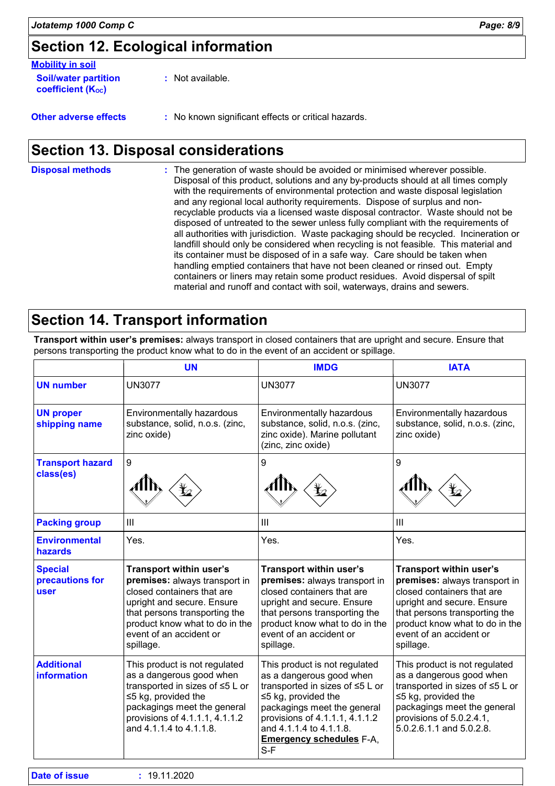# **Section 12. Ecological information**

| <b>Mobility in soil</b>                                 |                    |
|---------------------------------------------------------|--------------------|
| <b>Soil/water partition</b><br><b>coefficient (Koc)</b> | $:$ Not available. |

**Other adverse effects** : No known significant effects or critical hazards.

# **Section 13. Disposal considerations**

The generation of waste should be avoided or minimised wherever possible. Disposal of this product, solutions and any by-products should at all times comply with the requirements of environmental protection and waste disposal legislation and any regional local authority requirements. Dispose of surplus and nonrecyclable products via a licensed waste disposal contractor. Waste should not be disposed of untreated to the sewer unless fully compliant with the requirements of all authorities with jurisdiction. Waste packaging should be recycled. Incineration or landfill should only be considered when recycling is not feasible. This material and its container must be disposed of in a safe way. Care should be taken when handling emptied containers that have not been cleaned or rinsed out. Empty containers or liners may retain some product residues. Avoid dispersal of spilt material and runoff and contact with soil, waterways, drains and sewers. **Disposal methods :**

# **Section 14. Transport information**

**Transport within user's premises:** always transport in closed containers that are upright and secure. Ensure that persons transporting the product know what to do in the event of an accident or spillage.

|                                                  | <b>UN</b>                                                                                                                                                                                                                              | <b>IMDG</b>                                                                                                                                                                                                                                                       | <b>IATA</b>                                                                                                                                                                                                                            |
|--------------------------------------------------|----------------------------------------------------------------------------------------------------------------------------------------------------------------------------------------------------------------------------------------|-------------------------------------------------------------------------------------------------------------------------------------------------------------------------------------------------------------------------------------------------------------------|----------------------------------------------------------------------------------------------------------------------------------------------------------------------------------------------------------------------------------------|
| <b>UN number</b>                                 | <b>UN3077</b>                                                                                                                                                                                                                          | <b>UN3077</b>                                                                                                                                                                                                                                                     | <b>UN3077</b>                                                                                                                                                                                                                          |
| <b>UN proper</b><br>shipping name                | Environmentally hazardous<br>substance, solid, n.o.s. (zinc,<br>zinc oxide)                                                                                                                                                            | Environmentally hazardous<br>substance, solid, n.o.s. (zinc,<br>zinc oxide). Marine pollutant<br>(zinc, zinc oxide)                                                                                                                                               | Environmentally hazardous<br>substance, solid, n.o.s. (zinc,<br>zinc oxide)                                                                                                                                                            |
| <b>Transport hazard</b><br>class(es)             | 9                                                                                                                                                                                                                                      | 9                                                                                                                                                                                                                                                                 | 9                                                                                                                                                                                                                                      |
| <b>Packing group</b>                             | III                                                                                                                                                                                                                                    | III                                                                                                                                                                                                                                                               | $\mathbf{III}$                                                                                                                                                                                                                         |
| <b>Environmental</b><br><b>hazards</b>           | Yes.                                                                                                                                                                                                                                   | Yes.                                                                                                                                                                                                                                                              | Yes.                                                                                                                                                                                                                                   |
| <b>Special</b><br>precautions for<br><b>user</b> | <b>Transport within user's</b><br>premises: always transport in<br>closed containers that are<br>upright and secure. Ensure<br>that persons transporting the<br>product know what to do in the<br>event of an accident or<br>spillage. | <b>Transport within user's</b><br>premises: always transport in<br>closed containers that are<br>upright and secure. Ensure<br>that persons transporting the<br>product know what to do in the<br>event of an accident or<br>spillage.                            | <b>Transport within user's</b><br>premises: always transport in<br>closed containers that are<br>upright and secure. Ensure<br>that persons transporting the<br>product know what to do in the<br>event of an accident or<br>spillage. |
| <b>Additional</b><br>information                 | This product is not regulated<br>as a dangerous good when<br>transported in sizes of ≤5 L or<br>$\leq$ 5 kg, provided the<br>packagings meet the general<br>provisions of 4.1.1.1, 4.1.1.2<br>and 4.1.1.4 to 4.1.1.8.                  | This product is not regulated<br>as a dangerous good when<br>transported in sizes of ≤5 L or<br>$\leq$ 5 kg, provided the<br>packagings meet the general<br>provisions of 4.1.1.1, 4.1.1.2<br>and 4.1.1.4 to 4.1.1.8.<br><b>Emergency schedules F-A.</b><br>$S-F$ | This product is not regulated<br>as a dangerous good when<br>transported in sizes of ≤5 L or<br>$\leq$ 5 kg, provided the<br>packagings meet the general<br>provisions of 5.0.2.4.1,<br>5.0.2.6.1.1 and 5.0.2.8.                       |